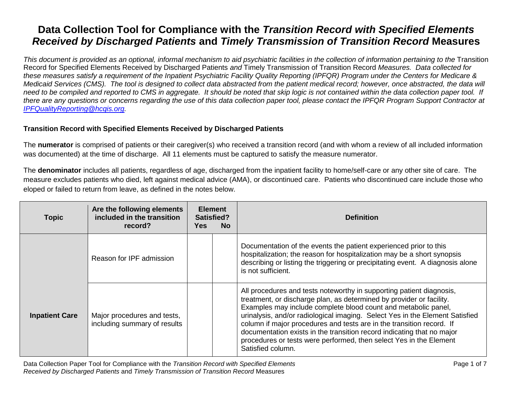*This document is provided as an optional, informal mechanism to aid psychiatric facilities in the collection of information pertaining to the Transition* Record for Specified Elements Received by Discharged Patients *and* Timely Transmission of Transition Record *Measures. Data collected for these measures satisfy a requirement of the Inpatient Psychiatric Facility Quality Reporting (IPFQR) Program under the Centers for Medicare & Medicaid Services (CMS). The tool is designed to collect data abstracted from the patient medical record; however, once abstracted, the data will need to be compiled and reported to CMS in aggregate. It should be noted that skip logic is not contained within the data collection paper tool. If there are any questions or concerns regarding the use of this data collection paper tool, please contact the IPFQR Program Support Contractor at [IPFQualityReporting@hcqis.org.](mailto:IPFQualityReporting@hcqis.org)*

#### **Transition Record with Specified Elements Received by Discharged Patients**

The **numerator** is comprised of patients or their caregiver(s) who received a transition record (and with whom a review of all included information was documented) at the time of discharge. All 11 elements must be captured to satisfy the measure numerator.

The **denominator** includes all patients, regardless of age, discharged from the inpatient facility to home/self-care or any other site of care. The measure excludes patients who died, left against medical advice (AMA), or discontinued care. Patients who discontinued care include those who eloped or failed to return from leave, as defined in the notes below.

| <b>Topic</b>          | Are the following elements<br>included in the transition<br>record? | <b>Yes</b> | <b>Element</b><br>Satisfied?<br><b>No</b> | <b>Definition</b>                                                                                                                                                                                                                                                                                                                                                                                                                                                                                                                            |
|-----------------------|---------------------------------------------------------------------|------------|-------------------------------------------|----------------------------------------------------------------------------------------------------------------------------------------------------------------------------------------------------------------------------------------------------------------------------------------------------------------------------------------------------------------------------------------------------------------------------------------------------------------------------------------------------------------------------------------------|
|                       | Reason for IPF admission                                            |            |                                           | Documentation of the events the patient experienced prior to this<br>hospitalization; the reason for hospitalization may be a short synopsis<br>describing or listing the triggering or precipitating event. A diagnosis alone<br>is not sufficient.                                                                                                                                                                                                                                                                                         |
| <b>Inpatient Care</b> | Major procedures and tests,<br>including summary of results         |            |                                           | All procedures and tests noteworthy in supporting patient diagnosis,<br>treatment, or discharge plan, as determined by provider or facility.<br>Examples may include complete blood count and metabolic panel,<br>urinalysis, and/or radiological imaging. Select Yes in the Element Satisfied<br>column if major procedures and tests are in the transition record. If<br>documentation exists in the transition record indicating that no major<br>procedures or tests were performed, then select Yes in the Element<br>Satisfied column. |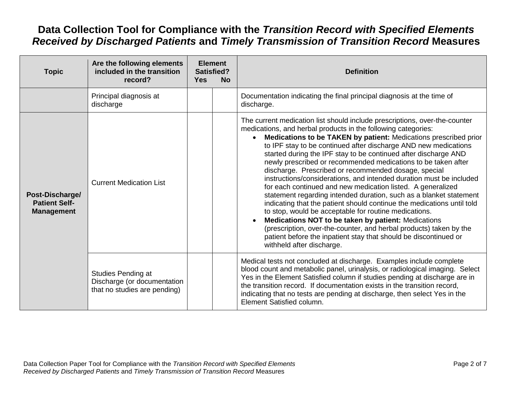| <b>Topic</b>                                                 | Are the following elements<br>included in the transition<br>record?               | <b>Yes</b> | <b>Element</b><br>Satisfied?<br><b>No</b> | <b>Definition</b>                                                                                                                                                                                                                                                                                                                                                                                                                                                                                                                                                                                                                                                                                                                                                                                                                                                                                                                                                                                                                                                        |
|--------------------------------------------------------------|-----------------------------------------------------------------------------------|------------|-------------------------------------------|--------------------------------------------------------------------------------------------------------------------------------------------------------------------------------------------------------------------------------------------------------------------------------------------------------------------------------------------------------------------------------------------------------------------------------------------------------------------------------------------------------------------------------------------------------------------------------------------------------------------------------------------------------------------------------------------------------------------------------------------------------------------------------------------------------------------------------------------------------------------------------------------------------------------------------------------------------------------------------------------------------------------------------------------------------------------------|
|                                                              | Principal diagnosis at<br>discharge                                               |            |                                           | Documentation indicating the final principal diagnosis at the time of<br>discharge.                                                                                                                                                                                                                                                                                                                                                                                                                                                                                                                                                                                                                                                                                                                                                                                                                                                                                                                                                                                      |
| Post-Discharge/<br><b>Patient Self-</b><br><b>Management</b> | <b>Current Medication List</b>                                                    |            |                                           | The current medication list should include prescriptions, over-the-counter<br>medications, and herbal products in the following categories:<br>Medications to be TAKEN by patient: Medications prescribed prior<br>to IPF stay to be continued after discharge AND new medications<br>started during the IPF stay to be continued after discharge AND<br>newly prescribed or recommended medications to be taken after<br>discharge. Prescribed or recommended dosage, special<br>instructions/considerations, and intended duration must be included<br>for each continued and new medication listed. A generalized<br>statement regarding intended duration, such as a blanket statement<br>indicating that the patient should continue the medications until told<br>to stop, would be acceptable for routine medications.<br>Medications NOT to be taken by patient: Medications<br>$\bullet$<br>(prescription, over-the-counter, and herbal products) taken by the<br>patient before the inpatient stay that should be discontinued or<br>withheld after discharge. |
|                                                              | Studies Pending at<br>Discharge (or documentation<br>that no studies are pending) |            |                                           | Medical tests not concluded at discharge. Examples include complete<br>blood count and metabolic panel, urinalysis, or radiological imaging. Select<br>Yes in the Element Satisfied column if studies pending at discharge are in<br>the transition record. If documentation exists in the transition record,<br>indicating that no tests are pending at discharge, then select Yes in the<br>Element Satisfied column.                                                                                                                                                                                                                                                                                                                                                                                                                                                                                                                                                                                                                                                  |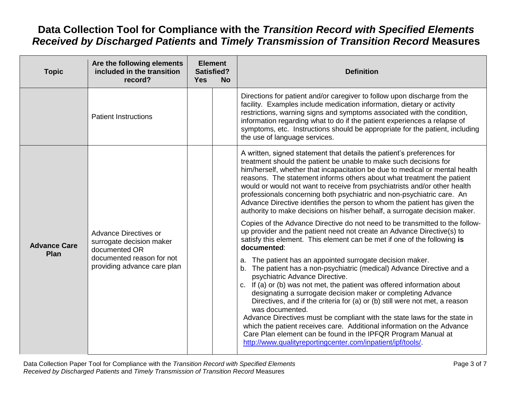| <b>Topic</b>                       | Are the following elements<br>included in the transition<br>record?                                                            | Satisfied?<br><b>Yes</b> | <b>Element</b><br><b>No</b> | <b>Definition</b>                                                                                                                                                                                                                                                                                                                                                                                                                                                                                                                                                                                                                                                                                         |
|------------------------------------|--------------------------------------------------------------------------------------------------------------------------------|--------------------------|-----------------------------|-----------------------------------------------------------------------------------------------------------------------------------------------------------------------------------------------------------------------------------------------------------------------------------------------------------------------------------------------------------------------------------------------------------------------------------------------------------------------------------------------------------------------------------------------------------------------------------------------------------------------------------------------------------------------------------------------------------|
|                                    | <b>Patient Instructions</b>                                                                                                    |                          |                             | Directions for patient and/or caregiver to follow upon discharge from the<br>facility. Examples include medication information, dietary or activity<br>restrictions, warning signs and symptoms associated with the condition,<br>information regarding what to do if the patient experiences a relapse of<br>symptoms, etc. Instructions should be appropriate for the patient, including<br>the use of language services.                                                                                                                                                                                                                                                                               |
| <b>Advance Care</b><br><b>Plan</b> | Advance Directives or<br>surrogate decision maker<br>documented OR<br>documented reason for not<br>providing advance care plan |                          |                             | A written, signed statement that details the patient's preferences for<br>treatment should the patient be unable to make such decisions for<br>him/herself, whether that incapacitation be due to medical or mental health<br>reasons. The statement informs others about what treatment the patient<br>would or would not want to receive from psychiatrists and/or other health<br>professionals concerning both psychiatric and non-psychiatric care. An<br>Advance Directive identifies the person to whom the patient has given the<br>authority to make decisions on his/her behalf, a surrogate decision maker.                                                                                    |
|                                    |                                                                                                                                |                          |                             | Copies of the Advance Directive do not need to be transmitted to the follow-<br>up provider and the patient need not create an Advance Directive(s) to<br>satisfy this element. This element can be met if one of the following is<br>documented:                                                                                                                                                                                                                                                                                                                                                                                                                                                         |
|                                    |                                                                                                                                |                          |                             | a. The patient has an appointed surrogate decision maker.<br>b. The patient has a non-psychiatric (medical) Advance Directive and a<br>psychiatric Advance Directive.<br>c. If (a) or (b) was not met, the patient was offered information about<br>designating a surrogate decision maker or completing Advance<br>Directives, and if the criteria for (a) or (b) still were not met, a reason<br>was documented.<br>Advance Directives must be compliant with the state laws for the state in<br>which the patient receives care. Additional information on the Advance<br>Care Plan element can be found in the IPFQR Program Manual at<br>http://www.qualityreportingcenter.com/inpatient/ipf/tools/. |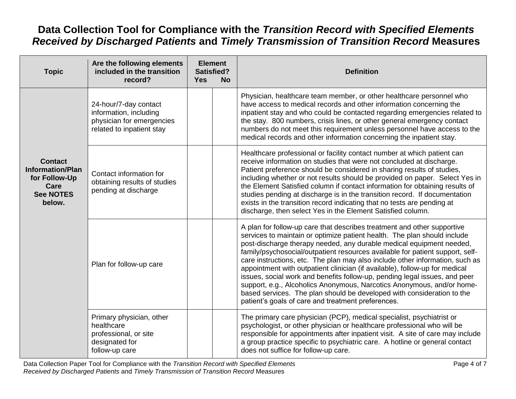| <b>Topic</b>                                                                                     | Are the following elements<br>included in the transition<br>record?                                       | <b>Element</b><br><b>Satisfied?</b><br><b>Yes</b> | <b>No</b> | <b>Definition</b>                                                                                                                                                                                                                                                                                                                                                                                                                                                                                                                                                                                                                                                                                                                                                   |
|--------------------------------------------------------------------------------------------------|-----------------------------------------------------------------------------------------------------------|---------------------------------------------------|-----------|---------------------------------------------------------------------------------------------------------------------------------------------------------------------------------------------------------------------------------------------------------------------------------------------------------------------------------------------------------------------------------------------------------------------------------------------------------------------------------------------------------------------------------------------------------------------------------------------------------------------------------------------------------------------------------------------------------------------------------------------------------------------|
|                                                                                                  | 24-hour/7-day contact<br>information, including<br>physician for emergencies<br>related to inpatient stay |                                                   |           | Physician, healthcare team member, or other healthcare personnel who<br>have access to medical records and other information concerning the<br>inpatient stay and who could be contacted regarding emergencies related to<br>the stay. 800 numbers, crisis lines, or other general emergency contact<br>numbers do not meet this requirement unless personnel have access to the<br>medical records and other information concerning the inpatient stay.                                                                                                                                                                                                                                                                                                            |
| <b>Contact</b><br><b>Information/Plan</b><br>for Follow-Up<br>Care<br><b>See NOTES</b><br>below. | Contact information for<br>obtaining results of studies<br>pending at discharge                           |                                                   |           | Healthcare professional or facility contact number at which patient can<br>receive information on studies that were not concluded at discharge.<br>Patient preference should be considered in sharing results of studies,<br>including whether or not results should be provided on paper. Select Yes in<br>the Element Satisfied column if contact information for obtaining results of<br>studies pending at discharge is in the transition record. If documentation<br>exists in the transition record indicating that no tests are pending at<br>discharge, then select Yes in the Element Satisfied column.                                                                                                                                                    |
|                                                                                                  | Plan for follow-up care                                                                                   |                                                   |           | A plan for follow-up care that describes treatment and other supportive<br>services to maintain or optimize patient health. The plan should include<br>post-discharge therapy needed, any durable medical equipment needed,<br>family/psychosocial/outpatient resources available for patient support, self-<br>care instructions, etc. The plan may also include other information, such as<br>appointment with outpatient clinician (if available), follow-up for medical<br>issues, social work and benefits follow-up, pending legal issues, and peer<br>support, e.g., Alcoholics Anonymous, Narcotics Anonymous, and/or home-<br>based services. The plan should be developed with consideration to the<br>patient's goals of care and treatment preferences. |
|                                                                                                  | Primary physician, other<br>healthcare<br>professional, or site<br>designated for<br>follow-up care       |                                                   |           | The primary care physician (PCP), medical specialist, psychiatrist or<br>psychologist, or other physician or healthcare professional who will be<br>responsible for appointments after inpatient visit. A site of care may include<br>a group practice specific to psychiatric care. A hotline or general contact<br>does not suffice for follow-up care.                                                                                                                                                                                                                                                                                                                                                                                                           |

Data Collection Paper Tool for Compliance with the *Transition Record with Specified Elements* Page 4 of 7 Page 4 of 7 *Received by Discharged Patients* and *Timely Transmission of Transition Record* Measures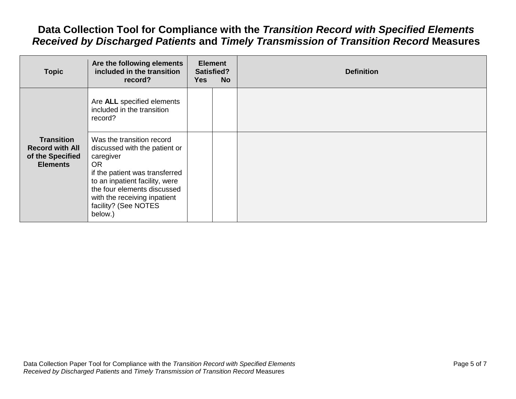| <b>Topic</b>                                                                       | Are the following elements<br>included in the transition<br>record?                                                                                                                                                                                        | <b>Yes</b> | <b>Element</b><br><b>Satisfied?</b><br><b>No</b> | <b>Definition</b> |
|------------------------------------------------------------------------------------|------------------------------------------------------------------------------------------------------------------------------------------------------------------------------------------------------------------------------------------------------------|------------|--------------------------------------------------|-------------------|
|                                                                                    | Are ALL specified elements<br>included in the transition<br>record?                                                                                                                                                                                        |            |                                                  |                   |
| <b>Transition</b><br><b>Record with All</b><br>of the Specified<br><b>Elements</b> | Was the transition record<br>discussed with the patient or<br>caregiver<br><b>OR</b><br>if the patient was transferred<br>to an inpatient facility, were<br>the four elements discussed<br>with the receiving inpatient<br>facility? (See NOTES<br>below.) |            |                                                  |                   |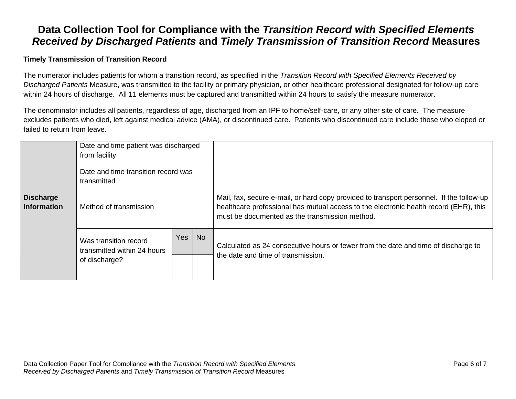#### **Timely Transmission of Transition Record**

The numerator includes patients for whom a transition record, as specified in the *Transition Record with Specified Elements Received by Discharged Patients* Measure, was transmitted to the facility or primary physician, or other healthcare professional designated for follow-up care within 24 hours of discharge. All 11 elements must be captured and transmitted within 24 hours to satisfy the measure numerator.

The denominator includes all patients, regardless of age, discharged from an IPF to home/self-care, or any other site of care. The measure excludes patients who died, left against medical advice (AMA), or discontinued care. Patients who discontinued care include those who eloped or failed to return from leave.

|                                        | Date and time patient was discharged<br>from facility                 |     |           |                                                                                                                                                                                                                                     |
|----------------------------------------|-----------------------------------------------------------------------|-----|-----------|-------------------------------------------------------------------------------------------------------------------------------------------------------------------------------------------------------------------------------------|
|                                        | Date and time transition record was<br>transmitted                    |     |           |                                                                                                                                                                                                                                     |
| <b>Discharge</b><br><b>Information</b> | Method of transmission                                                |     |           | Mail, fax, secure e-mail, or hard copy provided to transport personnel. If the follow-up<br>healthcare professional has mutual access to the electronic health record (EHR), this<br>must be documented as the transmission method. |
|                                        | Was transition record<br>transmitted within 24 hours<br>of discharge? | Yes | <b>No</b> | Calculated as 24 consecutive hours or fewer from the date and time of discharge to<br>the date and time of transmission.                                                                                                            |
|                                        |                                                                       |     |           |                                                                                                                                                                                                                                     |